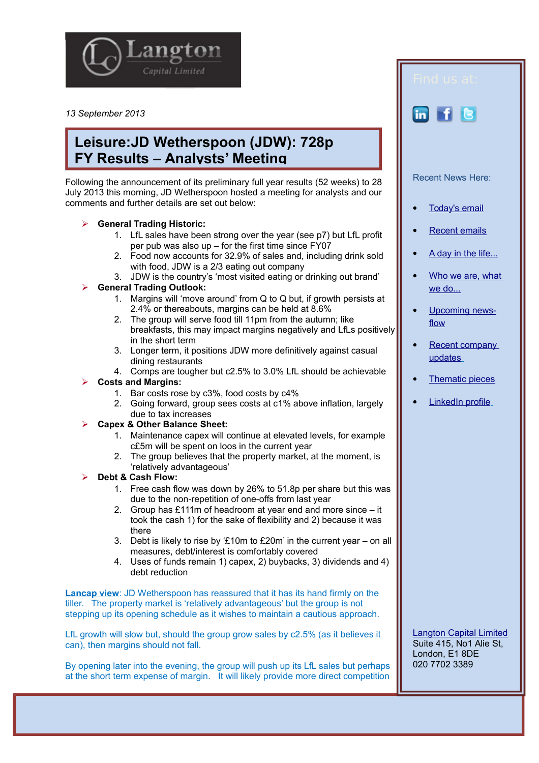

*13 September 2013*

# **Leisure:JD Wetherspoon (JDW): 728p FY Results – Analysts' Meeting**

Following the announcement of its preliminary full year results (52 weeks) to 28 July 2013 this morning, JD Wetherspoon hosted a meeting for analysts and our comments and further details are set out below:

### **General Trading Historic:**

- 1. LfL sales have been strong over the year (see p7) but LfL profit per pub was also up – for the first time since FY07
- 2. Food now accounts for 32.9% of sales and, including drink sold with food, JDW is a 2/3 eating out company
- 3. JDW is the country's 'most visited eating or drinking out brand'

# **General Trading Outlook:**

- 1. Margins will 'move around' from Q to Q but, if growth persists at 2.4% or thereabouts, margins can be held at 8.6%
- 2. The group will serve food till 11pm from the autumn; like breakfasts, this may impact margins negatively and LfLs positively in the short term
- 3. Longer term, it positions JDW more definitively against casual dining restaurants
- 4. Comps are tougher but c2.5% to 3.0% LfL should be achievable

## **Costs and Margins:**

- 1. Bar costs rose by c3%, food costs by c4%
- 2. Going forward, group sees costs at c1% above inflation, largely due to tax increases

#### **Capex & Other Balance Sheet:**

- 1. Maintenance capex will continue at elevated levels, for example c£5m will be spent on loos in the current year
- 2. The group believes that the property market, at the moment, is 'relatively advantageous'

#### **Debt & Cash Flow:**

- 1. Free cash flow was down by 26% to 51.8p per share but this was due to the non-repetition of one-offs from last year
- 2. Group has £111m of headroom at year end and more since it took the cash 1) for the sake of flexibility and 2) because it was there
- 3. Debt is likely to rise by '£10m to £20m' in the current year on all measures, debt/interest is comfortably covered
- 4. Uses of funds remain 1) capex, 2) buybacks, 3) dividends and 4) debt reduction

**Lancap view**: JD Wetherspoon has reassured that it has its hand firmly on the tiller. The property market is 'relatively advantageous' but the group is not stepping up its opening schedule as it wishes to maintain a cautious approach.

LfL growth will slow but, should the group grow sales by c2.5% (as it believes it can), then margins should not fall.

By opening later into the evening, the group will push up its LfL sales but perhaps at the short term expense of margin. It will likely provide more direct competition

in l Recent News Here: [Today's email](http://www.langtoncapital.co.uk/) [Recent emails](http://www.langtoncapital.co.uk/upcoming-results-events/recent-leisure-updates)

- [A day in the life...](http://www.langtoncapital.co.uk/a-day-in-the-life)
- [Who we are, what](http://www.langtoncapital.co.uk/who-we-are-what-we-do)  [we do...](http://www.langtoncapital.co.uk/who-we-are-what-we-do)
- [Upcoming news](http://www.langtoncapital.co.uk/upcoming-results-events)[flow](http://www.langtoncapital.co.uk/upcoming-results-events)
- Recent company  [updates](http://www.langtoncapital.co.uk/upcoming-results-events/company-updates)
- [Thematic pieces](http://www.langtoncapital.co.uk/upcoming-results-events/home-2)
- [LinkedIn profile](http://www.linkedin.com/profile/view?id=85312462&authType=name&authToken=qoBn&locale=en_US&pvs=pp&trk=ppro_viewmore)

[Langton Capital Limited](http://www.langtoncapital.co.uk/) Suite 415, No1 Alie St, London, E1 8DE 020 7702 3389